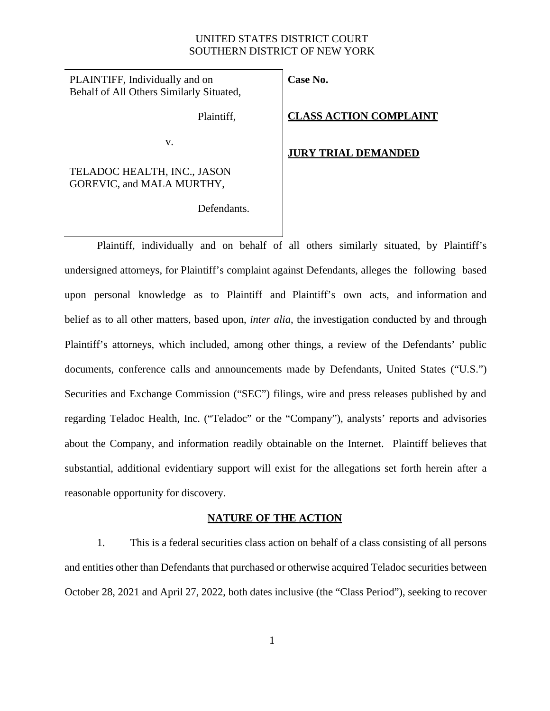## UNITED STATES DISTRICT COURT SOUTHERN DISTRICT OF NEW YORK

PLAINTIFF, Individually and on Behalf of All Others Similarly Situated,

Plaintiff,

**Case No.**

**CLASS ACTION COMPLAINT**

#### v.

## TELADOC HEALTH, INC., JASON GOREVIC, and MALA MURTHY,

### **JURY TRIAL DEMANDED**

Defendants.

Plaintiff, individually and on behalf of all others similarly situated, by Plaintiff's undersigned attorneys, for Plaintiff's complaint against Defendants, alleges the following based upon personal knowledge as to Plaintiff and Plaintiff's own acts, and information and belief as to all other matters, based upon, *inter alia*, the investigation conducted by and through Plaintiff's attorneys, which included, among other things, a review of the Defendants' public documents, conference calls and announcements made by Defendants, United States ("U.S.") Securities and Exchange Commission ("SEC") filings, wire and press releases published by and regarding Teladoc Health, Inc. ("Teladoc" or the "Company"), analysts' reports and advisories about the Company, and information readily obtainable on the Internet. Plaintiff believes that substantial, additional evidentiary support will exist for the allegations set forth herein after a reasonable opportunity for discovery.

## **NATURE OF THE ACTION**

1. This is a federal securities class action on behalf of a class consisting of all persons and entities other than Defendants that purchased or otherwise acquired Teladoc securities between October 28, 2021 and April 27, 2022, both dates inclusive (the "Class Period"), seeking to recover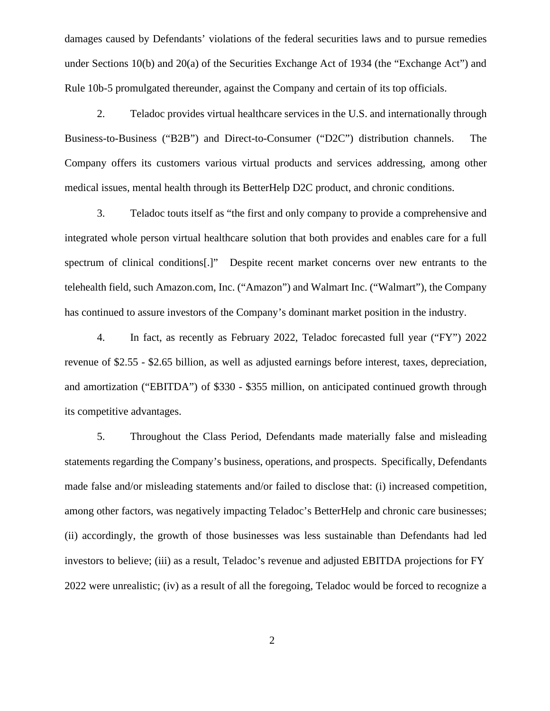damages caused by Defendants' violations of the federal securities laws and to pursue remedies under Sections 10(b) and 20(a) of the Securities Exchange Act of 1934 (the "Exchange Act") and Rule 10b-5 promulgated thereunder, against the Company and certain of its top officials.

2. Teladoc provides virtual healthcare services in the U.S. and internationally through Business-to-Business ("B2B") and Direct-to-Consumer ("D2C") distribution channels. The Company offers its customers various virtual products and services addressing, among other medical issues, mental health through its BetterHelp D2C product, and chronic conditions.

3. Teladoc touts itself as "the first and only company to provide a comprehensive and integrated whole person virtual healthcare solution that both provides and enables care for a full spectrum of clinical conditions[.]" Despite recent market concerns over new entrants to the telehealth field, such Amazon.com, Inc. ("Amazon") and Walmart Inc. ("Walmart"), the Company has continued to assure investors of the Company's dominant market position in the industry.

4. In fact, as recently as February 2022, Teladoc forecasted full year ("FY") 2022 revenue of \$2.55 - \$2.65 billion, as well as adjusted earnings before interest, taxes, depreciation, and amortization ("EBITDA") of \$330 - \$355 million, on anticipated continued growth through its competitive advantages.

5. Throughout the Class Period, Defendants made materially false and misleading statements regarding the Company's business, operations, and prospects. Specifically, Defendants made false and/or misleading statements and/or failed to disclose that: (i) increased competition, among other factors, was negatively impacting Teladoc's BetterHelp and chronic care businesses; (ii) accordingly, the growth of those businesses was less sustainable than Defendants had led investors to believe; (iii) as a result, Teladoc's revenue and adjusted EBITDA projections for FY 2022 were unrealistic; (iv) as a result of all the foregoing, Teladoc would be forced to recognize a

2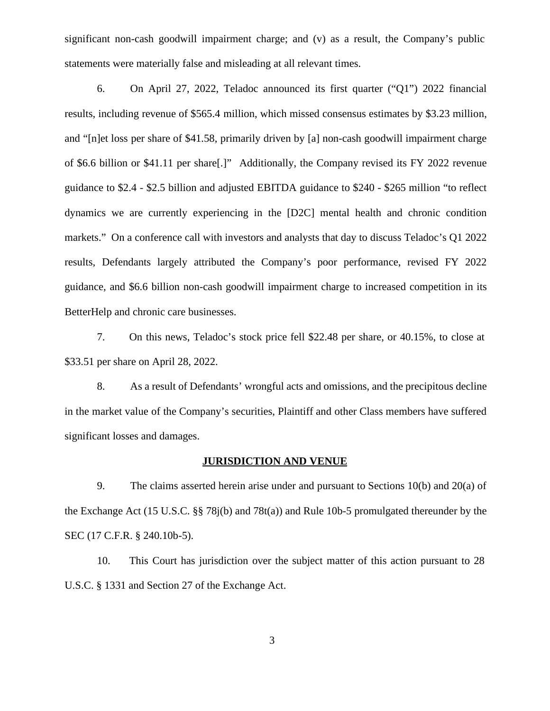significant non-cash goodwill impairment charge; and (v) as a result, the Company's public statements were materially false and misleading at all relevant times.

6. On April 27, 2022, Teladoc announced its first quarter ("Q1") 2022 financial results, including revenue of \$565.4 million, which missed consensus estimates by \$3.23 million, and "[n]et loss per share of \$41.58, primarily driven by [a] non-cash goodwill impairment charge of \$6.6 billion or \$41.11 per share[.]" Additionally, the Company revised its FY 2022 revenue guidance to \$2.4 - \$2.5 billion and adjusted EBITDA guidance to \$240 - \$265 million "to reflect dynamics we are currently experiencing in the [D2C] mental health and chronic condition markets." On a conference call with investors and analysts that day to discuss Teladoc's Q1 2022 results, Defendants largely attributed the Company's poor performance, revised FY 2022 guidance, and \$6.6 billion non-cash goodwill impairment charge to increased competition in its BetterHelp and chronic care businesses.

7. On this news, Teladoc's stock price fell \$22.48 per share, or 40.15%, to close at \$33.51 per share on April 28, 2022.

8. As a result of Defendants' wrongful acts and omissions, and the precipitous decline in the market value of the Company's securities, Plaintiff and other Class members have suffered significant losses and damages.

# **JURISDICTION AND VENUE**

9. The claims asserted herein arise under and pursuant to Sections 10(b) and 20(a) of the Exchange Act (15 U.S.C. §§ 78j(b) and 78t(a)) and Rule 10b-5 promulgated thereunder by the SEC (17 C.F.R. § 240.10b-5).

10. This Court has jurisdiction over the subject matter of this action pursuant to 28 U.S.C. § 1331 and Section 27 of the Exchange Act.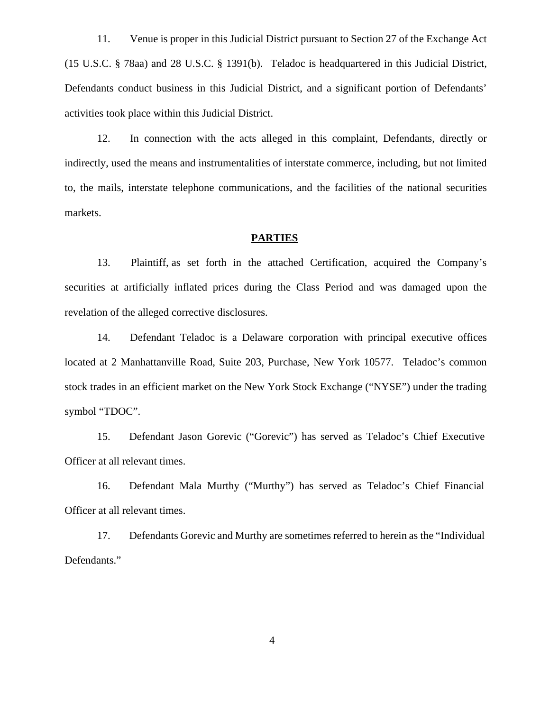11. Venue is proper in this Judicial District pursuant to Section 27 of the Exchange Act (15 U.S.C. § 78aa) and 28 U.S.C. § 1391(b). Teladoc is headquartered in this Judicial District, Defendants conduct business in this Judicial District, and a significant portion of Defendants' activities took place within this Judicial District.

12. In connection with the acts alleged in this complaint, Defendants, directly or indirectly, used the means and instrumentalities of interstate commerce, including, but not limited to, the mails, interstate telephone communications, and the facilities of the national securities markets.

#### **PARTIES**

13. Plaintiff, as set forth in the attached Certification, acquired the Company's securities at artificially inflated prices during the Class Period and was damaged upon the revelation of the alleged corrective disclosures.

14. Defendant Teladoc is a Delaware corporation with principal executive offices located at 2 Manhattanville Road, Suite 203, Purchase, New York 10577. Teladoc's common stock trades in an efficient market on the New York Stock Exchange ("NYSE") under the trading symbol "TDOC".

15. Defendant Jason Gorevic ("Gorevic") has served as Teladoc's Chief Executive Officer at all relevant times.

16. Defendant Mala Murthy ("Murthy") has served as Teladoc's Chief Financial Officer at all relevant times.

17. Defendants Gorevic and Murthy are sometimes referred to herein as the "Individual Defendants."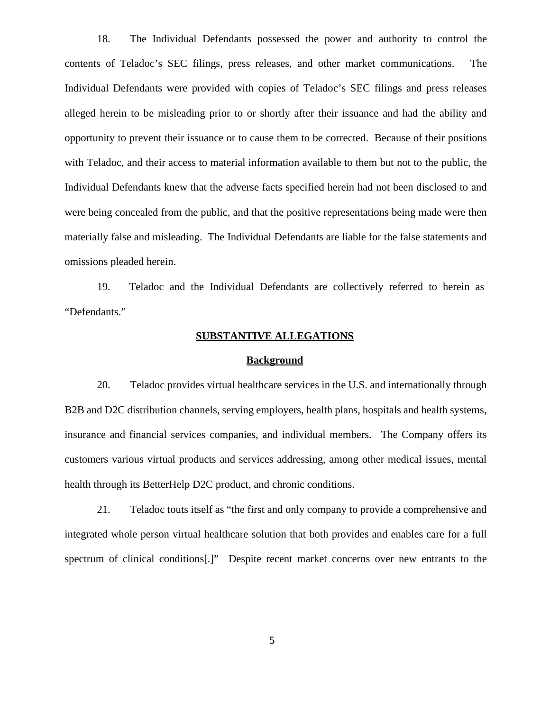18. The Individual Defendants possessed the power and authority to control the contents of Teladoc's SEC filings, press releases, and other market communications. The Individual Defendants were provided with copies of Teladoc's SEC filings and press releases alleged herein to be misleading prior to orshortly after their issuance and had the ability and opportunity to prevent their issuance or to cause them to be corrected. Because of their positions with Teladoc, and their access to material information available to them but not to the public, the Individual Defendants knew that the adverse facts specified herein had not been disclosed to and were being concealed from the public, and that the positive representations being made were then materially false and misleading. The Individual Defendants are liable for the false statements and omissions pleaded herein.

19. Teladoc and the Individual Defendants are collectively referred to herein as "Defendants."

### **SUBSTANTIVE ALLEGATIONS**

#### **Background**

20. Teladoc provides virtual healthcare services in the U.S. and internationally through B2B and D2C distribution channels, serving employers, health plans, hospitals and health systems, insurance and financial services companies, and individual members. The Company offers its customers various virtual products and services addressing, among other medical issues, mental health through its BetterHelp D2C product, and chronic conditions.

21. Teladoc touts itself as "the first and only company to provide a comprehensive and integrated whole person virtual healthcare solution that both provides and enables care for a full spectrum of clinical conditions[.]" Despite recent market concerns over new entrants to the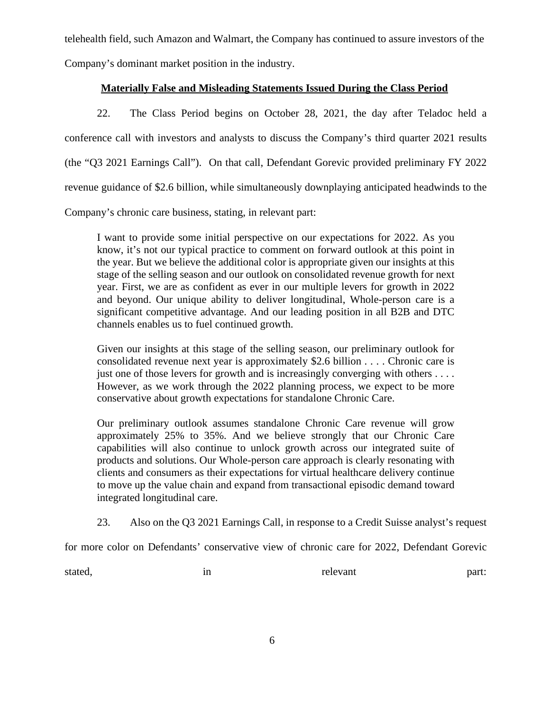telehealth field, such Amazon and Walmart, the Company has continued to assure investors of the Company's dominant market position in the industry.

# **Materially False and Misleading Statements Issued During the Class Period**

22. The Class Period begins on October 28, 2021, the day after Teladoc held a conference call with investors and analysts to discuss the Company's third quarter 2021 results (the "Q3 2021 Earnings Call"). On that call, Defendant Gorevic provided preliminary FY 2022 revenue guidance of \$2.6 billion, while simultaneously downplaying anticipated headwinds to the

Company's chronic care business, stating, in relevant part:

I want to provide some initial perspective on our expectations for 2022. As you know, it's not our typical practice to comment on forward outlook at this point in the year. But we believe the additional color is appropriate given our insights at this stage of the selling season and our outlook on consolidated revenue growth for next year. First, we are as confident as ever in our multiple levers for growth in 2022 and beyond. Our unique ability to deliver longitudinal, Whole-person care is a significant competitive advantage. And our leading position in all B2B and DTC channels enables us to fuel continued growth.

Given our insights at this stage of the selling season, our preliminary outlook for consolidated revenue next year is approximately \$2.6 billion . . . . Chronic care is just one of those levers for growth and is increasingly converging with others  $\dots$ . However, as we work through the 2022 planning process, we expect to be more conservative about growth expectations for standalone Chronic Care.

Our preliminary outlook assumes standalone Chronic Care revenue will grow approximately 25% to 35%. And we believe strongly that our Chronic Care capabilities will also continue to unlock growth across our integrated suite of products and solutions. Our Whole-person care approach is clearly resonating with clients and consumers as their expectations for virtual healthcare delivery continue to move up the value chain and expand from transactional episodic demand toward integrated longitudinal care.

23. Also on the Q3 2021 Earnings Call, in response to a Credit Suisse analyst's request

for more color on Defendants' conservative view of chronic care for 2022, Defendant Gorevic

stated, in in relevant part: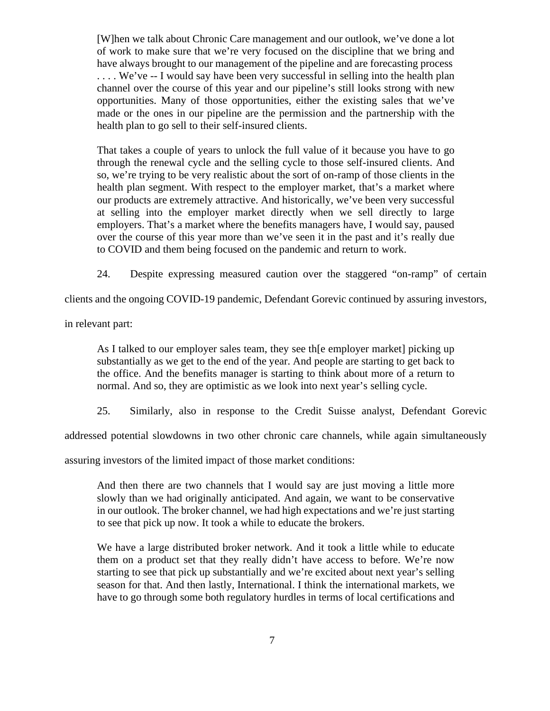[W]hen we talk about Chronic Care management and our outlook, we've done a lot of work to make sure that we're very focused on the discipline that we bring and have always brought to our management of the pipeline and are forecasting process ... We've -- I would say have been very successful in selling into the health plan channel over the course of this year and our pipeline's still looks strong with new opportunities. Many of those opportunities, either the existing sales that we've made or the ones in our pipeline are the permission and the partnership with the health plan to go sell to their self-insured clients.

That takes a couple of years to unlock the full value of it because you have to go through the renewal cycle and the selling cycle to those self-insured clients. And so, we're trying to be very realistic about the sort of on-ramp of those clients in the health plan segment. With respect to the employer market, that's a market where our products are extremely attractive. And historically, we've been very successful at selling into the employer market directly when we sell directly to large employers. That's a market where the benefits managers have, I would say, paused over the course of this year more than we've seen it in the past and it's really due to COVID and them being focused on the pandemic and return to work.

24. Despite expressing measured caution over the staggered "on-ramp" of certain

clients and the ongoing COVID-19 pandemic, Defendant Gorevic continued by assuring investors,

in relevant part:

As I talked to our employer sales team, they see the employer market picking up substantially as we get to the end of the year. And people are starting to get back to the office. And the benefits manager is starting to think about more of a return to normal. And so, they are optimistic as we look into next year's selling cycle.

25. Similarly, also in response to the Credit Suisse analyst, Defendant Gorevic

addressed potential slowdowns in two other chronic care channels, while again simultaneously

assuring investors of the limited impact of those market conditions:

And then there are two channels that I would say are just moving a little more slowly than we had originally anticipated. And again, we want to be conservative in our outlook. The broker channel, we had high expectations and we're just starting to see that pick up now. It took a while to educate the brokers.

We have a large distributed broker network. And it took a little while to educate them on a product set that they really didn't have access to before. We're now starting to see that pick up substantially and we're excited about next year's selling season for that. And then lastly, International. I think the international markets, we have to go through some both regulatory hurdles in terms of local certifications and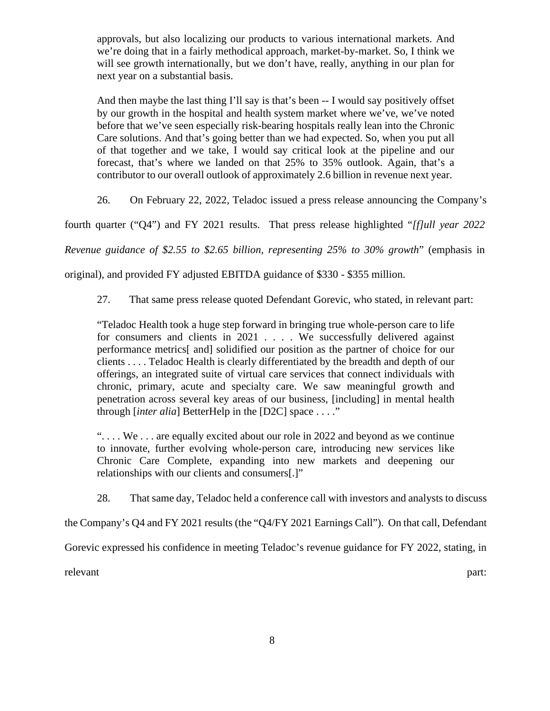approvals, but also localizing our products to various international markets. And we're doing that in a fairly methodical approach, market-by-market. So, I think we will see growth internationally, but we don't have, really, anything in our plan for next year on a substantial basis.

And then maybe the last thing I'll say is that's been -- I would say positively offset by our growth in the hospital and health system market where we've, we've noted before that we've seen especially risk-bearing hospitals really lean into the Chronic Care solutions. And that's going better than we had expected. So, when you put all of that together and we take, I would say critical look at the pipeline and our forecast, that's where we landed on that 25% to 35% outlook. Again, that's a contributor to our overall outlook of approximately 2.6 billion in revenue next year.

26. On February 22, 2022, Teladoc issued a press release announcing the Company's

fourth quarter ("Q4") and FY 2021 results. That press release highlighted "*[f]ull year 2022*

*Revenue guidance of \$2.55 to \$2.65 billion, representing 25% to 30% growth*" (emphasis in

original), and provided FY adjusted EBITDA guidance of \$330 - \$355 million.

27. That same press release quoted Defendant Gorevic, who stated, in relevant part:

"Teladoc Health took a huge step forward in bringing true whole-person care to life for consumers and clients in 2021 . . . . We successfully delivered against performance metrics[ and] solidified our position as the partner of choice for our clients . . . . Teladoc Health is clearly differentiated by the breadth and depth of our offerings, an integrated suite of virtual care services that connect individuals with chronic, primary, acute and specialty care. We saw meaningful growth and penetration across several key areas of our business, [including] in mental health through [*inter alia*] BetterHelp in the [D2C] space . . . ."

" $\dots$  We  $\dots$  are equally excited about our role in 2022 and beyond as we continue to innovate, further evolving whole-person care, introducing new services like Chronic Care Complete, expanding into new markets and deepening our relationships with our clients and consumers[.]"

28. That same day, Teladoc held a conference call with investors and analysts to discuss

the Company's Q4 and FY 2021 results (the "Q4/FY 2021 Earnings Call"). On that call, Defendant

Gorevic expressed his confidence in meeting Teladoc's revenue guidance for FY 2022, stating, in

relevant part: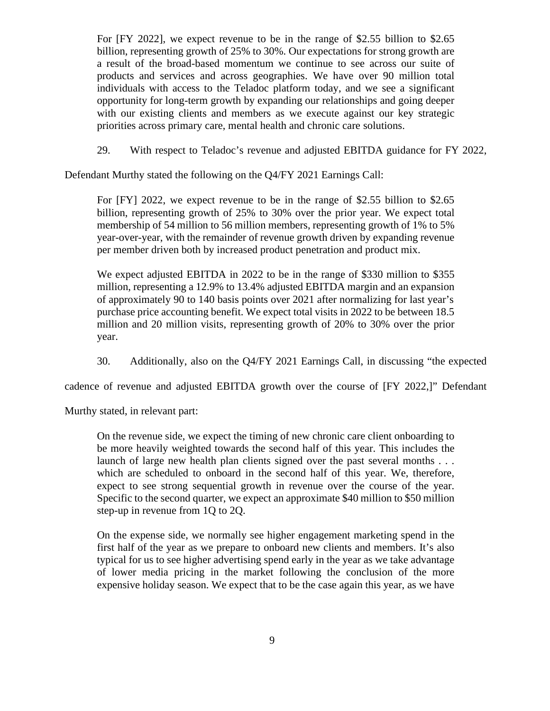For [FY 2022], we expect revenue to be in the range of \$2.55 billion to \$2.65 billion, representing growth of 25% to 30%. Our expectations for strong growth are a result of the broad-based momentum we continue to see across our suite of products and services and across geographies. We have over 90 million total individuals with access to the Teladoc platform today, and we see a significant opportunity for long-term growth by expanding our relationships and going deeper with our existing clients and members as we execute against our key strategic priorities across primary care, mental health and chronic care solutions.

29. With respect to Teladoc's revenue and adjusted EBITDA guidance for FY 2022,

Defendant Murthy stated the following on the Q4/FY 2021 Earnings Call:

For [FY] 2022, we expect revenue to be in the range of \$2.55 billion to \$2.65 billion, representing growth of 25% to 30% over the prior year. We expect total membership of 54 million to 56 million members, representing growth of 1% to 5% year-over-year, with the remainder of revenue growth driven by expanding revenue per member driven both by increased product penetration and product mix.

We expect adjusted EBITDA in 2022 to be in the range of \$330 million to \$355 million, representing a 12.9% to 13.4% adjusted EBITDA margin and an expansion of approximately 90 to 140 basis points over 2021 after normalizing for last year's purchase price accounting benefit. We expect total visits in 2022 to be between 18.5 million and 20 million visits, representing growth of 20% to 30% over the prior year.

30. Additionally, also on the Q4/FY 2021 Earnings Call, in discussing "the expected

cadence of revenue and adjusted EBITDA growth over the course of [FY 2022,]" Defendant

Murthy stated, in relevant part:

On the revenue side, we expect the timing of new chronic care client onboarding to be more heavily weighted towards the second half of this year. This includes the launch of large new health plan clients signed over the past several months  $\dots$ which are scheduled to onboard in the second half of this year. We, therefore, expect to see strong sequential growth in revenue over the course of the year. Specific to the second quarter, we expect an approximate \$40 million to \$50 million step-up in revenue from 1Q to 2Q.

On the expense side, we normally see higher engagement marketing spend in the first half of the year as we prepare to onboard new clients and members. It's also typical for us to see higher advertising spend early in the year as we take advantage of lower media pricing in the market following the conclusion of the more expensive holiday season. We expect that to be the case again this year, as we have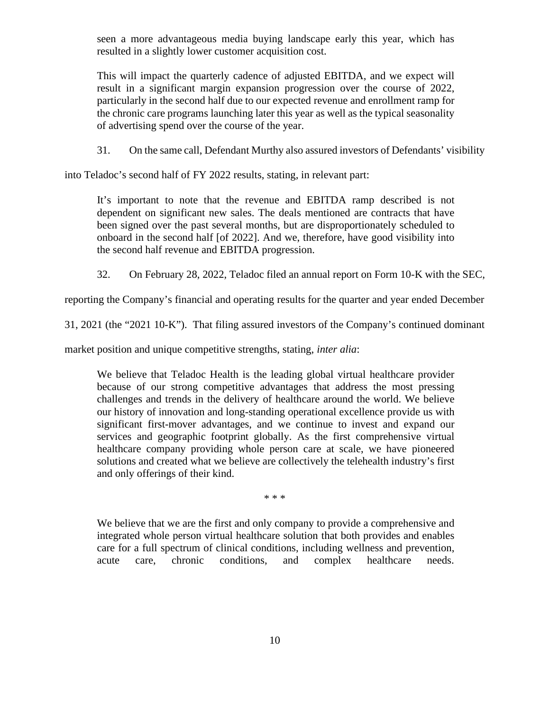seen a more advantageous media buying landscape early this year, which has resulted in a slightly lower customer acquisition cost.

This will impact the quarterly cadence of adjusted EBITDA, and we expect will result in a significant margin expansion progression over the course of 2022, particularly in the second half due to our expected revenue and enrollment ramp for the chronic care programs launching later this year as well as the typical seasonality of advertising spend over the course of the year.

31. On the same call, Defendant Murthy also assured investors of Defendants' visibility

into Teladoc's second half of FY 2022 results, stating, in relevant part:

It's important to note that the revenue and EBITDA ramp described is not dependent on significant new sales. The deals mentioned are contracts that have been signed over the past several months, but are disproportionately scheduled to onboard in the second half [of 2022]. And we, therefore, have good visibility into the second half revenue and EBITDA progression.

32. On February 28, 2022, Teladoc filed an annual report on Form 10-K with the SEC,

reporting the Company's financial and operating results for the quarter and year ended December

31, 2021 (the "2021 10-K"). That filing assured investors of the Company's continued dominant

market position and unique competitive strengths, stating, *inter alia*:

We believe that Teladoc Health is the leading global virtual healthcare provider because of our strong competitive advantages that address the most pressing challenges and trends in the delivery of healthcare around the world. We believe our history of innovation and long-standing operational excellence provide us with significant first-mover advantages, and we continue to invest and expand our services and geographic footprint globally. As the first comprehensive virtual healthcare company providing whole person care at scale, we have pioneered solutions and created what we believe are collectively the telehealth industry's first and only offerings of their kind.

\* \* \*

We believe that we are the first and only company to provide a comprehensive and integrated whole person virtual healthcare solution that both provides and enables care for a full spectrum of clinical conditions, including wellness and prevention, acute care, chronic conditions, and complex healthcare needs.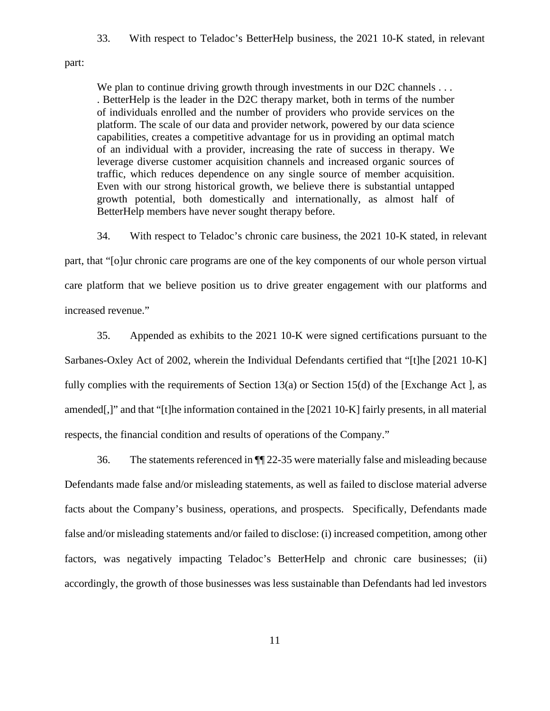33. With respect to Teladoc's BetterHelp business, the 2021 10-K stated, in relevant

part:

We plan to continue driving growth through investments in our D2C channels ... . BetterHelp is the leader in the D2C therapy market, both in terms of the number of individuals enrolled and the number of providers who provide services on the platform. The scale of our data and provider network, powered by our data science capabilities, creates a competitive advantage for us in providing an optimal match of an individual with a provider, increasing the rate of success in therapy. We leverage diverse customer acquisition channels and increased organic sources of traffic, which reduces dependence on any single source of member acquisition. Even with our strong historical growth, we believe there is substantial untapped growth potential, both domestically and internationally, as almost half of BetterHelp members have never sought therapy before.

34. With respect to Teladoc's chronic care business, the 2021 10-K stated, in relevant part, that "[o]ur chronic care programs are one of the key components of our whole person virtual

care platform that we believe position us to drive greater engagement with our platforms and increased revenue."

35. Appended as exhibits to the 2021 10-K were signed certifications pursuant to the Sarbanes-Oxley Act of 2002, wherein the Individual Defendants certified that "[t]he [2021 10-K] fully complies with the requirements of Section 13(a) or Section 15(d) of the [Exchange Act ], as amended[,]" and that "[t]he information contained in the [2021 10-K] fairly presents, in all material respects, the financial condition and results of operations of the Company."

36. The statements referenced in ¶¶ 22-35 were materially false and misleading because Defendants made false and/or misleading statements, as well as failed to disclose material adverse facts about the Company's business, operations, and prospects. Specifically, Defendants made false and/or misleading statements and/or failed to disclose: (i) increased competition, among other factors, was negatively impacting Teladoc's BetterHelp and chronic care businesses; (ii) accordingly, the growth of those businesses was less sustainable than Defendants had led investors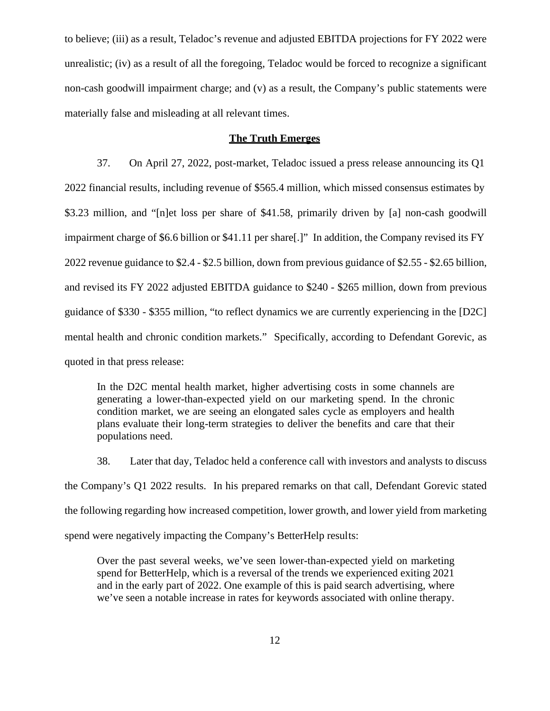to believe; (iii) as a result, Teladoc's revenue and adjusted EBITDA projections for FY 2022 were unrealistic; (iv) as a result of all the foregoing, Teladoc would be forced to recognize a significant non-cash goodwill impairment charge; and (v) as a result, the Company's public statements were materially false and misleading at all relevant times.

# **The Truth Emerges**

37. On April 27, 2022, post-market, Teladoc issued a press release announcing its Q1 2022 financial results, including revenue of \$565.4 million, which missed consensus estimates by \$3.23 million, and "[n]et loss per share of \$41.58, primarily driven by [a] non-cash goodwill impairment charge of \$6.6 billion or \$41.11 per share[.]" In addition, the Company revised its FY 2022 revenue guidance to \$2.4 - \$2.5 billion, down from previous guidance of \$2.55 - \$2.65 billion, and revised its FY 2022 adjusted EBITDA guidance to \$240 - \$265 million, down from previous guidance of \$330 - \$355 million, "to reflect dynamics we are currently experiencing in the [D2C] mental health and chronic condition markets." Specifically, according to Defendant Gorevic, as quoted in that press release:

In the D2C mental health market, higher advertising costs in some channels are generating a lower-than-expected yield on our marketing spend. In the chronic condition market, we are seeing an elongated sales cycle as employers and health plans evaluate their long-term strategies to deliver the benefits and care that their populations need.

38. Later that day, Teladoc held a conference call with investors and analysts to discuss the Company's Q1 2022 results. In his prepared remarks on that call, Defendant Gorevic stated the following regarding how increased competition, lower growth, and lower yield from marketing spend were negatively impacting the Company's BetterHelp results:

Over the past several weeks, we've seen lower-than-expected yield on marketing spend for BetterHelp, which is a reversal of the trends we experienced exiting 2021 and in the early part of 2022. One example of this is paid search advertising, where we've seen a notable increase in rates for keywords associated with online therapy.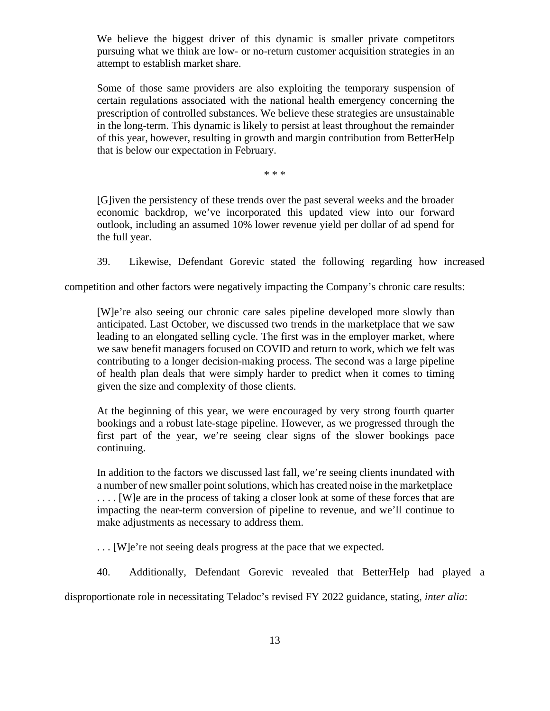We believe the biggest driver of this dynamic is smaller private competitors pursuing what we think are low- or no-return customer acquisition strategies in an attempt to establish market share.

Some of those same providers are also exploiting the temporary suspension of certain regulations associated with the national health emergency concerning the prescription of controlled substances. We believe these strategies are unsustainable in the long-term. This dynamic is likely to persist at least throughout the remainder of this year, however, resulting in growth and margin contribution from BetterHelp that is below our expectation in February.

\* \* \*

[G]iven the persistency of these trends over the past several weeks and the broader economic backdrop, we've incorporated this updated view into our forward outlook, including an assumed 10% lower revenue yield per dollar of ad spend for the full year.

39. Likewise, Defendant Gorevic stated the following regarding how increased

competition and other factors were negatively impacting the Company's chronic care results:

[W]e're also seeing our chronic care sales pipeline developed more slowly than anticipated. Last October, we discussed two trends in the marketplace that we saw leading to an elongated selling cycle. The first was in the employer market, where we saw benefit managers focused on COVID and return to work, which we felt was contributing to a longer decision-making process. The second was a large pipeline of health plan deals that were simply harder to predict when it comes to timing given the size and complexity of those clients.

At the beginning of this year, we were encouraged by very strong fourth quarter bookings and a robust late-stage pipeline. However, as we progressed through the first part of the year, we're seeing clear signs of the slower bookings pace continuing.

In addition to the factors we discussed last fall, we're seeing clients inundated with a number of new smaller point solutions, which has created noise in the marketplace . . . . [W]e are in the process of taking a closer look at some of these forces that are impacting the near-term conversion of pipeline to revenue, and we'll continue to make adjustments as necessary to address them.

. . . [W]e're not seeing deals progress at the pace that we expected.

40. Additionally, Defendant Gorevic revealed that BetterHelp had played a

disproportionate role in necessitating Teladoc's revised FY 2022 guidance, stating, *inter alia*: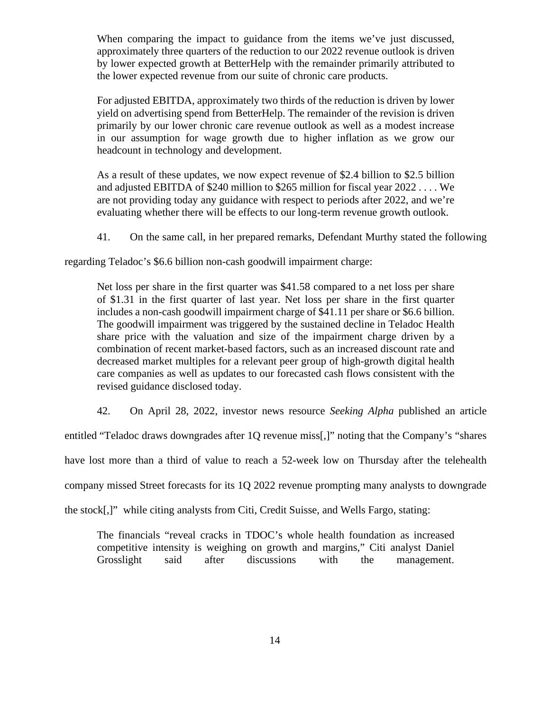When comparing the impact to guidance from the items we've just discussed, approximately three quarters of the reduction to our 2022 revenue outlook is driven by lower expected growth at BetterHelp with the remainder primarily attributed to the lower expected revenue from our suite of chronic care products.

For adjusted EBITDA, approximately two thirds of the reduction is driven by lower yield on advertising spend from BetterHelp. The remainder of the revision is driven primarily by our lower chronic care revenue outlook as well as a modest increase in our assumption for wage growth due to higher inflation as we grow our headcount in technology and development.

As a result of these updates, we now expect revenue of \$2.4 billion to \$2.5 billion and adjusted EBITDA of \$240 million to \$265 million for fiscal year 2022 . . . . We are not providing today any guidance with respect to periods after 2022, and we're evaluating whether there will be effects to our long-term revenue growth outlook.

41. On the same call, in her prepared remarks, Defendant Murthy stated the following

regarding Teladoc's \$6.6 billion non-cash goodwill impairment charge:

Net loss per share in the first quarter was \$41.58 compared to a net loss per share of \$1.31 in the first quarter of last year. Net loss per share in the first quarter includes a non-cash goodwill impairment charge of \$41.11 per share or \$6.6 billion. The goodwill impairment was triggered by the sustained decline in Teladoc Health share price with the valuation and size of the impairment charge driven by a combination of recent market-based factors, such as an increased discount rate and decreased market multiples for a relevant peer group of high-growth digital health care companies as well as updates to our forecasted cash flows consistent with the revised guidance disclosed today.

42. On April 28, 2022, investor news resource *Seeking Alpha* published an article

entitled "Teladoc draws downgrades after 1Q revenue miss[,]" noting that the Company's "shares

have lost more than a third of value to reach a 52-week low on Thursday after the telehealth

company missed Street forecasts for its 1Q 2022 revenue prompting many analysts to downgrade

the stock[,]" while citing analysts from Citi, Credit Suisse, and Wells Fargo, stating:

The financials "reveal cracks in TDOC's whole health foundation as increased competitive intensity is weighing on growth and margins," Citi analyst Daniel Grosslight said after discussions with the management.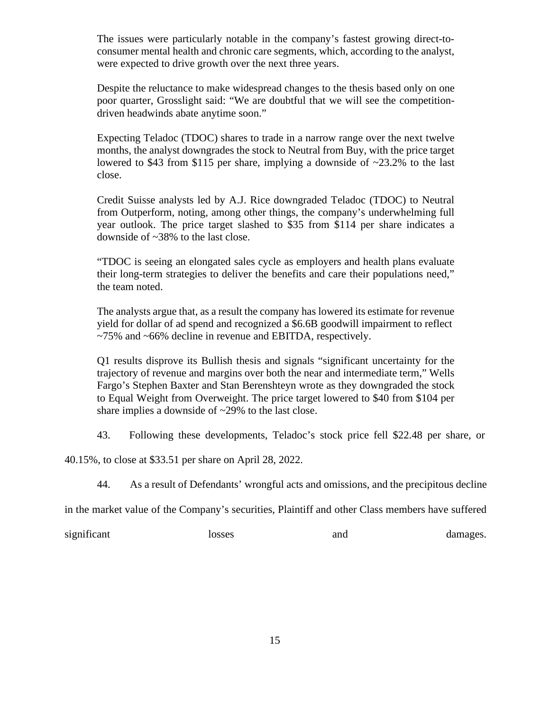The issues were particularly notable in the company's fastest growing direct-to consumer mental health and chronic care segments, which, according to the analyst, were expected to drive growth over the next three years.

Despite the reluctance to make widespread changes to the thesis based only on one poor quarter, Grosslight said: "We are doubtful that we will see the competition driven headwinds abate anytime soon."

Expecting Teladoc (TDOC) shares to trade in a narrow range over the next twelve months, the analyst downgrades the stock to Neutral from Buy, with the price target lowered to \$43 from \$115 per share, implying a downside of ~23.2% to the last close.

Credit Suisse analysts led by A.J. Rice downgraded Teladoc (TDOC) to Neutral from Outperform, noting, among other things, the company's underwhelming full year outlook. The price target slashed to \$35 from \$114 per share indicates a downside of ~38% to the last close.

"TDOC is seeing an elongated sales cycle as employers and health plans evaluate their long-term strategies to deliver the benefits and care their populations need," the team noted.

The analysts argue that, as a result the company has lowered its estimate for revenue yield for dollar of ad spend and recognized a \$6.6B goodwill impairment to reflect ~75% and ~66% decline in revenue and EBITDA, respectively.

Q1 results disprove its Bullish thesis and signals "significant uncertainty for the trajectory of revenue and margins over both the near and intermediate term," Wells Fargo's Stephen Baxter and Stan Berenshteyn wrote as they downgraded the stock to Equal Weight from Overweight. The price target lowered to \$40 from \$104 per share implies a downside of ~29% to the last close.

43. Following these developments, Teladoc's stock price fell \$22.48 per share, or

40.15%, to close at \$33.51 per share on April 28, 2022.

44. As a result of Defendants' wrongful acts and omissions, and the precipitous decline

in the market value of the Company's securities, Plaintiff and other Class members have suffered

significant losses and damages.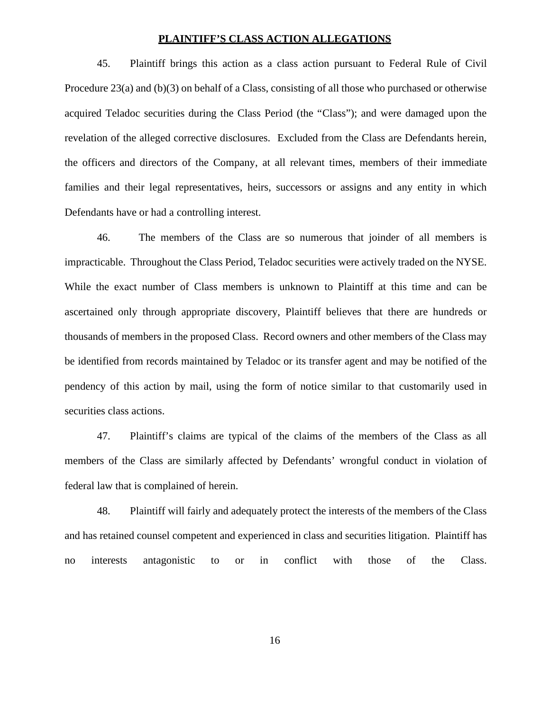### **PLAINTIFF'S CLASS ACTION ALLEGATIONS**

45. Plaintiff brings this action as a class action pursuant to Federal Rule of Civil Procedure 23(a) and (b)(3) on behalf of a Class, consisting of all those who purchased or otherwise acquired Teladoc securities during the Class Period (the "Class"); and were damaged upon the revelation of the alleged corrective disclosures. Excluded from the Class are Defendants herein, the officers and directors of the Company, at all relevant times, members of their immediate families and their legal representatives, heirs, successors or assigns and any entity in which Defendants have or had a controlling interest.

46. The members of the Class are so numerous that joinder of all members is impracticable. Throughout the Class Period, Teladoc securities were actively traded on the NYSE. While the exact number of Class members is unknown to Plaintiff at this time and can be ascertained only through appropriate discovery, Plaintiff believes that there are hundreds or thousands of members in the proposed Class. Record owners and other members of the Class may be identified from records maintained by Teladoc or its transfer agent and may be notified of the pendency ofthis action by mail, using the form of notice similar to that customarily used in securities class actions.

47. Plaintiff's claims are typical of the claims of the members of the Class as all members of the Class are similarly affected by Defendants' wrongful conduct in violation of federal law that is complained of herein.

48. Plaintiff will fairly and adequately protect the interests of the members of the Class and has retained counsel competent and experienced in class and securities litigation. Plaintiff has no interests antagonistic to or in conflict with those of the Class.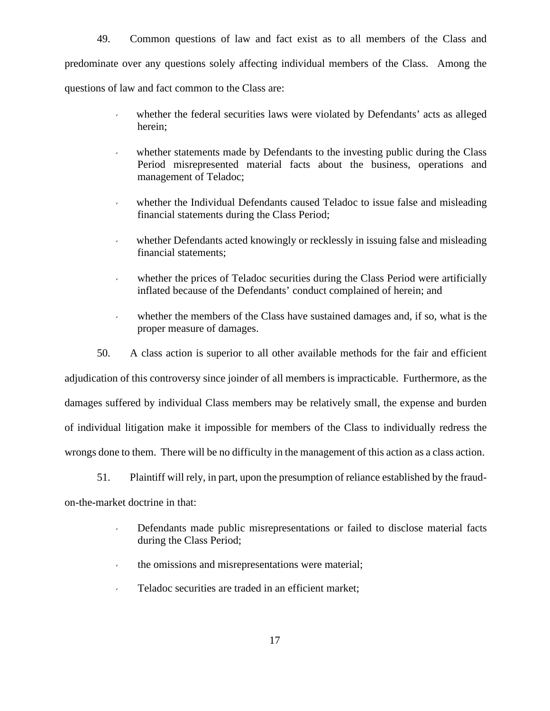49. Common questions of law and fact exist as to all members of the Class and predominate over any questions solely affecting individual members of the Class. Among the questions of law and fact common to the Class are:

- whether the federal securities laws were violated by Defendants' acts as alleged herein;
- whether statements made by Defendants to the investing public during the Class Period misrepresented material facts about the business, operations and management of Teladoc;
- whether the Individual Defendants caused Teladoc to issue false and misleading financial statements during the Class Period;
- whether Defendants acted knowingly or recklessly in issuing false and misleading financial statements;
- whether the prices of Teladoc securities during the Class Period were artificially inflated because of the Defendants' conduct complained of herein; and
- whether the members of the Class have sustained damages and, if so, what is the proper measure of damages.

50. A class action is superior to all other available methods for the fair and efficient adjudication of this controversy since joinder of all members is impracticable. Furthermore, as the damages suffered by individual Class members may be relatively small, the expense and burden of individual litigation make it impossible for members of the Class to individually redress the wrongs done to them. There will be no difficulty in the management of this action as a class action.

51. Plaintiff will rely, in part, upon the presumption of reliance established by the fraud on-the-market doctrine in that:

- Defendants made public misrepresentations or failed to disclose material facts during the Class Period;
- the omissions and misrepresentations were material;
- Teladoc securities are traded in an efficient market;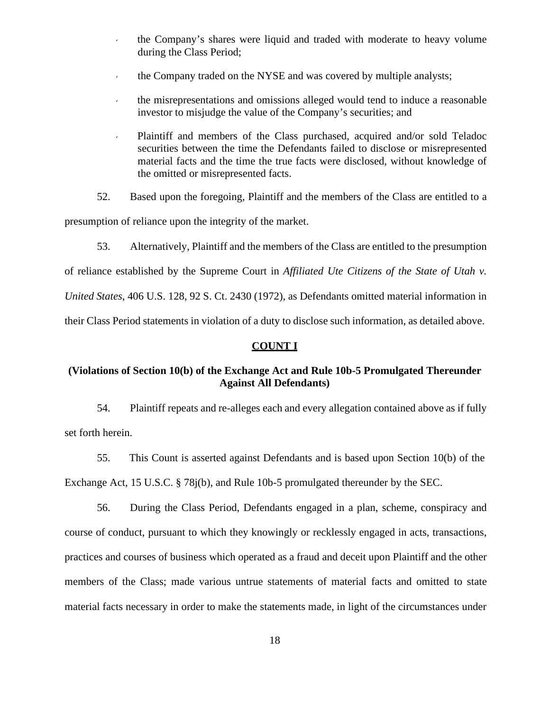- the Company's shares were liquid and traded with moderate to heavy volume during the Class Period;
- $\cdot$  the Company traded on the NYSE and was covered by multiple analysts;
- the misrepresentations and omissions alleged would tend to induce a reasonable investor to misjudge the value of the Company's securities; and
- Plaintiff and members of the Class purchased, acquired and/or sold Teladoc securities between the time the Defendants failed to disclose or misrepresented material facts and the time the true facts were disclosed, without knowledge of the omitted or misrepresented facts.
- 52. Based upon the foregoing, Plaintiff and the members of the Class are entitled to a

presumption of reliance upon the integrity of the market.

53. Alternatively, Plaintiff and the members of the Class are entitled to the presumption

of reliance established by the Supreme Court in *Affiliated Ute Citizens of the State of Utah v.*

*United States*, 406 U.S. 128, 92 S. Ct. 2430 (1972), as Defendants omitted material information in

their Class Period statements in violation of a duty to disclose such information, as detailed above.

### **COUNT I**

# **(Violations of Section 10(b) of the Exchange Act and Rule 10b-5 Promulgated Thereunder Against All Defendants)**

54. Plaintiff repeats and re-alleges each and every allegation contained above as if fully set forth herein.

55. This Count is asserted against Defendants and is based upon Section 10(b) of the Exchange Act, 15 U.S.C. § 78j(b), and Rule 10b-5 promulgated thereunder by the SEC.

56. During the Class Period, Defendants engaged in a plan, scheme, conspiracy and course of conduct, pursuant to which they knowingly or recklessly engaged in acts, transactions, practices and courses of business which operated as a fraud and deceit upon Plaintiff and the other members of the Class; made various untrue statements of material facts and omitted to state material facts necessary in order to make the statements made, in light of the circumstances under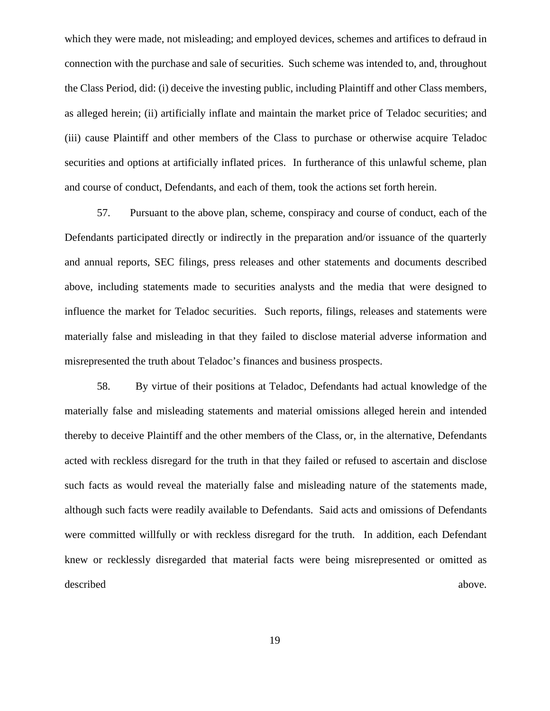which they were made, not misleading; and employed devices, schemes and artifices to defraud in connection with the purchase and sale of securities. Such scheme was intended to, and, throughout the Class Period, did: (i) deceive the investing public, including Plaintiff and other Class members, as alleged herein; (ii) artificially inflate and maintain the market price of Teladoc securities; and (iii) cause Plaintiff and other members of the Class to purchase or otherwise acquire Teladoc securities and options at artificially inflated prices. In furtherance of this unlawful scheme, plan and course of conduct, Defendants, and each of them, took the actions set forth herein.

57. Pursuant to the above plan, scheme, conspiracy and course of conduct, each of the Defendants participated directly or indirectly in the preparation and/or issuance of the quarterly and annual reports, SEC filings, press releases and other statements and documents described above, including statements made to securities analysts and the media that were designed to influence the market for Teladoc securities. Such reports, filings, releases and statements were materially false and misleading in that they failed to disclose material adverse information and misrepresented the truth about Teladoc's finances and business prospects.

58. By virtue of their positions at Teladoc, Defendants had actual knowledge of the materially false and misleading statements and material omissions alleged herein and intended thereby to deceive Plaintiff and the other members of the Class, or, in the alternative, Defendants acted with reckless disregard for the truth in that they failed or refused to ascertain and disclose such facts as would reveal the materially false and misleading nature of the statements made, although such facts were readily available to Defendants. Said acts and omissions of Defendants were committed willfully or with reckless disregard for the truth. In addition, each Defendant knew or recklessly disregarded that material facts were being misrepresented or omitted as described above.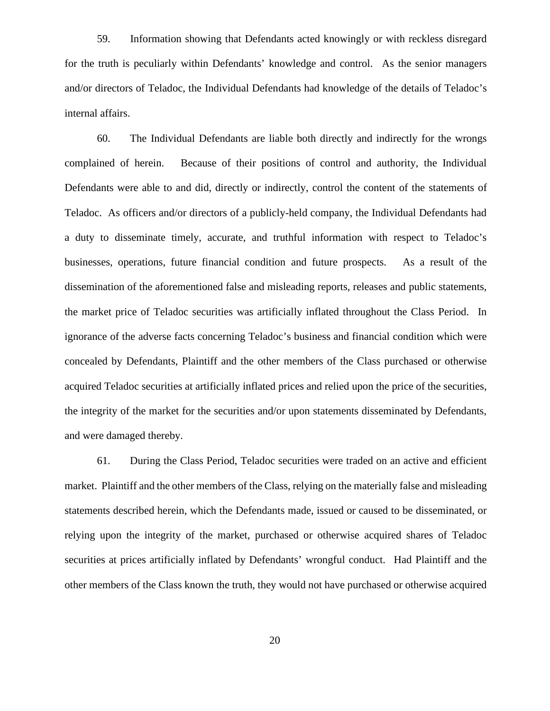59. Information showing that Defendants acted knowingly or with reckless disregard for the truth is peculiarly within Defendants' knowledge and control. As the senior managers and/or directors of Teladoc, the Individual Defendants had knowledge of the details of Teladoc's internal affairs.

60. The Individual Defendants are liable both directly and indirectly for the wrongs complained of herein. Because of their positions of control and authority, the Individual Defendants were able to and did, directly or indirectly, control the content of the statements of Teladoc. As officers and/or directors of a publicly-held company, the Individual Defendants had a duty to disseminate timely, accurate, and truthful information with respect to Teladoc's businesses, operations, future financial condition and future prospects. As a result of the dissemination of the aforementioned false and misleading reports, releases and public statements, the market price of Teladoc securities was artificially inflated throughout the Class Period. In ignorance of the adverse facts concerning Teladoc's business and financial condition which were concealed by Defendants, Plaintiff and the other members of the Class purchased or otherwise acquired Teladoc securities at artificially inflated prices and relied upon the price of the securities, the integrity of the market for the securities and/or upon statements disseminated by Defendants, and were damaged thereby.

61. During the Class Period, Teladoc securities were traded on an active and efficient market. Plaintiff and the other members of the Class, relying on the materially false and misleading statements described herein, which the Defendants made, issued or caused to be disseminated, or relying upon the integrity of the market, purchased or otherwise acquired shares of Teladoc securities at prices artificially inflated by Defendants' wrongful conduct. Had Plaintiff and the other members of the Class known the truth, they would not have purchased or otherwise acquired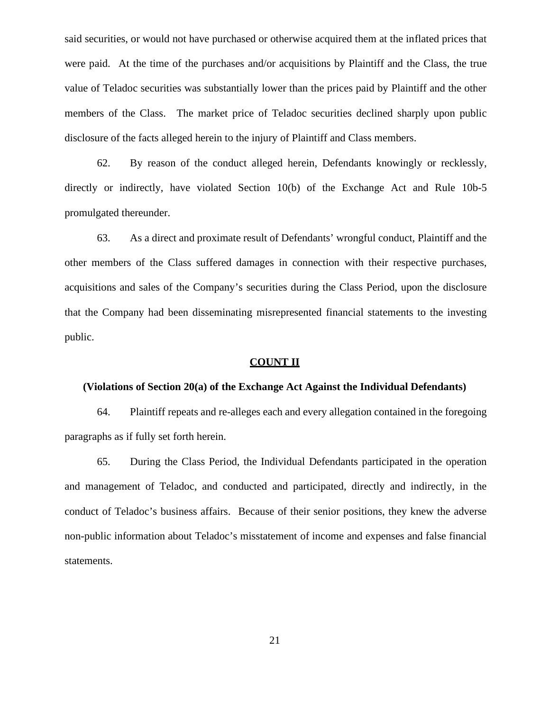said securities, or would not have purchased or otherwise acquired them at the inflated prices that were paid. At the time of the purchases and/or acquisitions by Plaintiff and the Class, the true value of Teladoc securities was substantially lower than the prices paid by Plaintiff and the other members of the Class. The market price of Teladoc securities declined sharply upon public disclosure of the facts alleged herein to the injury of Plaintiff and Class members.

62. By reason of the conduct alleged herein, Defendants knowingly or recklessly, directly or indirectly, have violated Section 10(b) of the Exchange Act and Rule 10b-5 promulgated thereunder.

63. As a direct and proximate result of Defendants' wrongful conduct, Plaintiff and the other members of the Class suffered damages in connection with their respective purchases, acquisitions and sales of the Company's securities during the Class Period, upon the disclosure that the Company had been disseminating misrepresented financial statements to the investing public.

#### **COUNT II**

#### **(Violations of Section 20(a) of the Exchange Act Against the Individual Defendants)**

64. Plaintiff repeats and re-alleges each and every allegation contained in the foregoing paragraphs as if fully set forth herein.

65. During the Class Period, the Individual Defendants participated in the operation and management of Teladoc, and conducted and participated, directly and indirectly, in the conduct of Teladoc's business affairs. Because of their senior positions, they knew the adverse non-public information about Teladoc's misstatement of income and expenses and false financial statements.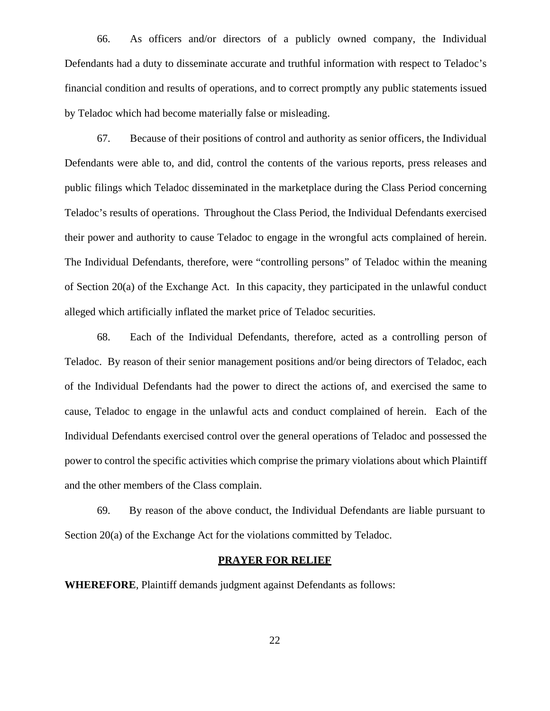66. As officers and/or directors of a publicly owned company, the Individual Defendants had a duty to disseminate accurate and truthful information with respect to Teladoc's financial condition and results of operations, and to correct promptly any public statements issued by Teladoc which had become materially false or misleading.

67. Because of their positions of control and authority as senior officers, the Individual Defendants were able to, and did, control the contents of the various reports, press releases and public filings which Teladoc disseminated in the marketplace during the Class Period concerning Teladoc's results of operations. Throughout the Class Period, the Individual Defendants exercised their power and authority to cause Teladoc to engage in the wrongful acts complained of herein. The Individual Defendants, therefore, were "controlling persons" of Teladoc within the meaning of Section 20(a) of the Exchange Act. In this capacity, they participated in the unlawful conduct alleged which artificially inflated the market price of Teladoc securities.

68. Each of the Individual Defendants, therefore, acted as a controlling person of Teladoc. By reason of their senior management positions and/or being directors of Teladoc, each of the Individual Defendants had the power to direct the actions of, and exercised the same to cause, Teladoc to engage in the unlawful acts and conduct complained of herein. Each of the Individual Defendants exercised control over the general operations of Teladoc and possessed the power to control the specific activities which comprise the primary violations about which Plaintiff and the other members of the Class complain.

69. By reason of the above conduct, the Individual Defendants are liable pursuant to Section 20(a) of the Exchange Act for the violations committed by Teladoc.

### **PRAYER FOR RELIEF**

**WHEREFORE**, Plaintiff demands judgment against Defendants as follows: